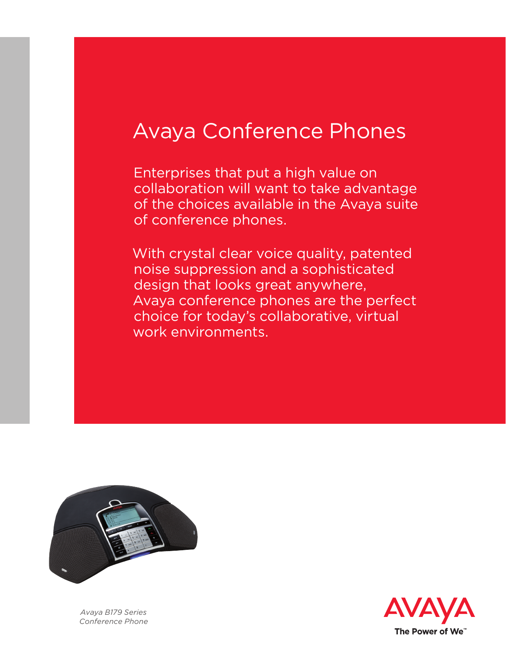# Avaya Conference Phones

Enterprises that put a high value on collaboration will want to take advantage of the choices available in the Avaya suite of conference phones.

With crystal clear voice quality, patented noise suppression and a sophisticated design that looks great anywhere, Avaya conference phones are the perfect choice for today's collaborative, virtual work environments.



*Avaya B179 Series Conference Phone*

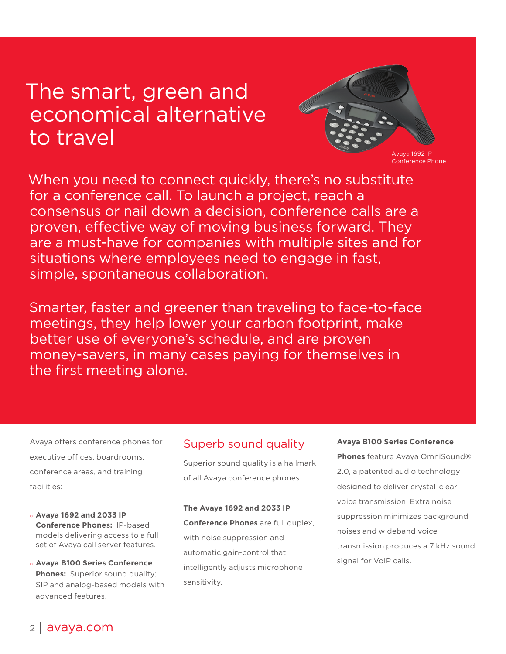## The smart, green and economical alternative to travel



When you need to connect quickly, there's no substitute for a conference call. To launch a project, reach a consensus or nail down a decision, conference calls are a proven, effective way of moving business forward. They are a must-have for companies with multiple sites and for situations where employees need to engage in fast, simple, spontaneous collaboration.

Smarter, faster and greener than traveling to face-to-face meetings, they help lower your carbon footprint, make better use of everyone's schedule, and are proven money-savers, in many cases paying for themselves in the first meeting alone.

Avaya offers conference phones for executive offices, boardrooms, conference areas, and training facilities:

- °  **Avaya 1692 and 2033 IP Conference Phones:** IP-based models delivering access to a full set of Avaya call server features.
- ° **Avaya B100 Series Conference Phones:** Superior sound quality; SIP and analog-based models with advanced features.

## Superb sound quality

Superior sound quality is a hallmark of all Avaya conference phones:

**The Avaya 1692 and 2033 IP Conference Phones** are full duplex, with noise suppression and automatic gain-control that intelligently adjusts microphone sensitivity.

#### **Avaya B100 Series Conference**

**Phones** feature Avaya OmniSound® 2.0, a patented audio technology designed to deliver crystal-clear voice transmission. Extra noise suppression minimizes background noises and wideband voice transmission produces a 7 kHz sound signal for VoIP calls.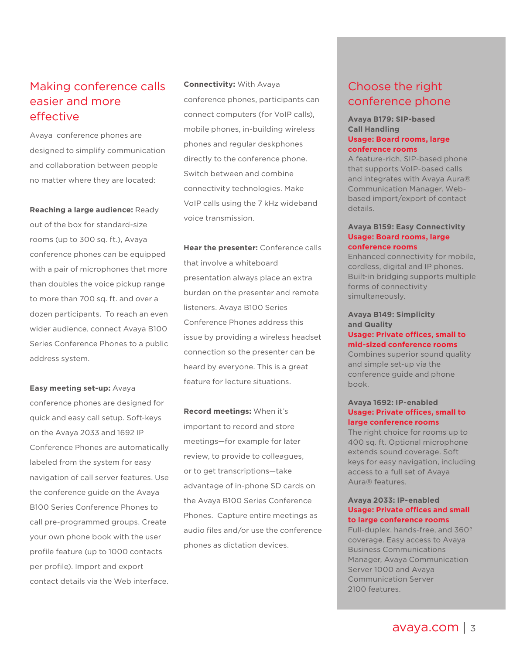## Making conference calls easier and more effective

Avaya conference phones are designed to simplify communication and collaboration between people no matter where they are located:

**Reaching a large audience:** Ready out of the box for standard-size rooms (up to 300 sq. ft.), Avaya conference phones can be equipped with a pair of microphones that more than doubles the voice pickup range to more than 700 sq. ft. and over a dozen participants. To reach an even wider audience, connect Avaya B100 Series Conference Phones to a public address system.

**Easy meeting set-up:** Avaya conference phones are designed for quick and easy call setup. Soft-keys on the Avaya 2033 and 1692 IP Conference Phones are automatically labeled from the system for easy navigation of call server features. Use the conference guide on the Avaya B100 Series Conference Phones to call pre-programmed groups. Create your own phone book with the user profile feature (up to 1000 contacts per profile). Import and export contact details via the Web interface.

**Connectivity:** With Avaya conference phones, participants can connect computers (for VoIP calls), mobile phones, in-building wireless phones and regular deskphones directly to the conference phone. Switch between and combine connectivity technologies. Make VoIP calls using the 7 kHz wideband voice transmission.

**Hear the presenter:** Conference calls that involve a whiteboard presentation always place an extra burden on the presenter and remote listeners. Avaya B100 Series Conference Phones address this issue by providing a wireless headset connection so the presenter can be heard by everyone. This is a great feature for lecture situations.

**Record meetings:** When it's important to record and store meetings—for example for later review, to provide to colleagues, or to get transcriptions—take advantage of in-phone SD cards on the Avaya B100 Series Conference Phones. Capture entire meetings as audio files and/or use the conference phones as dictation devices.

## Choose the right conference phone

#### **Avaya B179: SIP-based Call Handling Usage: Board rooms, large conference rooms**

A feature-rich, SIP-based phone that supports VoIP-based calls and integrates with Avaya Aura® Communication Manager. Webbased import/export of contact details.

#### **Avaya B159: Easy Connectivity Usage: Board rooms, large conference rooms**

Enhanced connectivity for mobile, cordless, digital and IP phones. Built-in bridging supports multiple forms of connectivity simultaneously.

**Avaya B149: Simplicity and Quality**

#### **Usage: Private offices, small to mid-sized conference rooms**

Combines superior sound quality and simple set-up via the conference guide and phone book.

#### **Avaya 1692: IP-enabled Usage: Private offices, small to large conference rooms**

The right choice for rooms up to 400 sq. ft. Optional microphone extends sound coverage. Soft keys for easy navigation, including access to a full set of Avaya Aura® features.

#### **Avaya 2033: IP-enabled Usage: Private offices and small to large conference rooms**

Full-duplex, hands-free, and 360º coverage. Easy access to Avaya Business Communications Manager, Avaya Communication Server 1000 and Avaya Communication Server 2100 features.